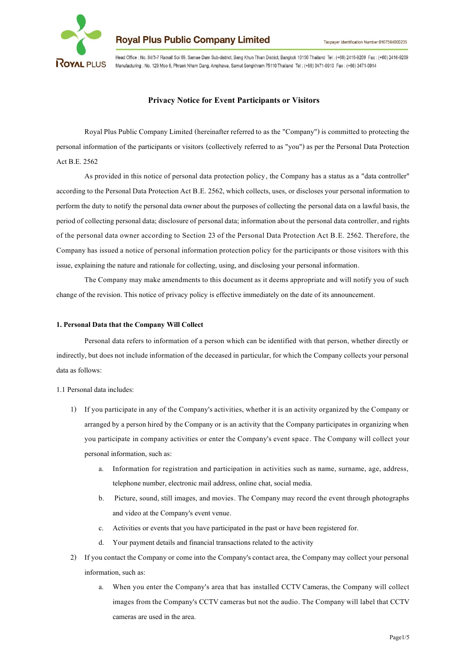

Head Office : No. 84/3-7 Ramall Soi 69, Samae Dam Sub-district, Bang Khun Thian District, Bangkok 10150 Thailand Tel : (+66) 2416-9209 Fax : (+66) 2416-9209 ROYAL PLUS Manufacturing : No. 129 Moo 6, Phraek Nham Dang, Amphawa, Samut Songkhram 75110 Thailand Tel: (+66) 3471-0910 Fax: (+66) 3471-0914

## **Privacy Notice for Event Participants or Visitors**

Royal Plus Public Company Limited (hereinafter referred to as the "Company") is committed to protecting the personal information of the participants or visitors (collectively referred to as "you") as per the Personal Data Protection Act B.E. 2562

As provided in this notice of personal data protection policy, the Company has a status as a "data controller" according to the Personal Data Protection Act B.E. 2562, which collects, uses, or discloses your personal information to perform the duty to notify the personal data owner about the purposes of collecting the personal data on a lawful basis, the period of collecting personal data; disclosure of personal data; information about the personal data controller,and rights of the personal data owner according to Section 23 of the Personal Data Protection Act B.E. 2562. Therefore, the Company has issued a notice of personal information protection policy for the participants or those visitors with this issue, explaining the nature and rationale for collecting, using, and disclosing your personal information.

The Company may make amendments to this document as it deems appropriate and will notify you of such change of the revision. This notice of privacy policy is effective immediately on the date of its announcement.

#### **1. Personal Data that the Company Will Collect**

Personal data refers to information of a person which can be identified with that person, whether directly or indirectly, but does not include information of the deceased in particular, for which the Company collects your personal data as follows:

1.1 Personal data includes:

- 1) If you participate in any of the Company's activities, whether it is an activity organized by the Company or arranged by a person hired by the Company or is an activity that the Company participates in organizing when you participate in company activities or enter the Company's event space. The Company will collect your personal information, such as:
	- a. Information for registration and participation in activities such as name, surname, age, address, telephone number, electronic mail address, online chat, social media.
	- b. Picture, sound, still images, and movies. The Company may record the event through photographs and video at the Company's event venue.
	- c. Activities or events that you have participated in the past or have been registered for.
	- d. Your payment details and financial transactions related to the activity
- 2) If you contact the Company or come into the Company's contact area, the Company may collect your personal information, such as:
	- a. When you enter the Company's area that has installed CCTV Cameras, the Company will collect images from the Company's CCTV cameras but not the audio. The Company will label that CCTV cameras are used in the area.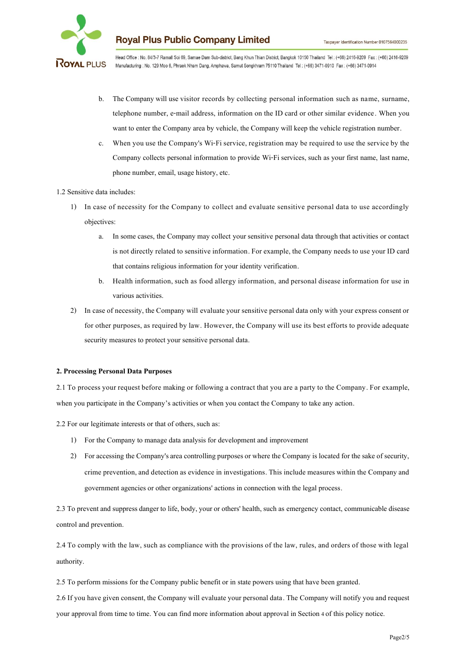

Head Office : No. 84/3-7 Ramall Soi 69, Samae Dam Sub-district, Bang Khun Thian District, Bangkok 10150 Thailand Tel: (+66) 2416-9209 Fax: (+66) 2416-9209 Manufacturing : No. 129 Moo 6, Phraek Nham Dang, Amphawa, Samut Songkhram 75110 Thailand Tel: (+66) 3471-0910 Fax: (+66) 3471-0914

- b. The Company will use visitor records by collecting personal information such as name, surname, telephone number, e-mail address, information on the ID card or other similar evidence. When you want to enter the Company area by vehicle, the Company will keep the vehicle registration number.
- c. When you use the Company's Wi-Fi service, registration may be required to use the service by the Company collects personal information to provide Wi-Fi services, such as your first name, last name, phone number, email, usage history, etc.

#### 1.2 Sensitive data includes:

- 1) In case of necessity for the Company to collect and evaluate sensitive personal data to use accordingly objectives:
	- a. In some cases, the Company may collect your sensitive personal data through that activities or contact is not directly related to sensitive information. For example, the Company needs to use your ID card that contains religious information for your identity verification.
	- b. Health information, such as food allergy information, and personal disease information for use in various activities.
- 2) In case of necessity, the Company will evaluate your sensitive personal data only with your express consent or for other purposes, as required by law. However, the Company will use its best efforts to provide adequate security measures to protect your sensitive personal data.

#### **2. Processing Personal Data Purposes**

2.1 To process your request before making or following a contract that you are a party to the Company. For example, when you participate in the Company's activities or when you contact the Company to take any action.

2.2 For our legitimate interests or that of others, such as:

- 1) For the Company to manage data analysis for development and improvement
- 2) For accessing the Company's area controlling purposes or where the Company is located for the sake of security, crime prevention, and detection as evidence in investigations. This include measures within the Company and government agencies or other organizations' actions in connection with the legal process.

2.3 To prevent and suppress danger to life, body, your or others' health, such as emergency contact, communicable disease control and prevention.

2.4 To comply with the law, such as compliance with the provisions of the law, rules, and orders of those with legal authority.

2.5 To perform missions for the Company public benefit or in state powers using that have been granted.

2.6 If you have given consent, the Company will evaluate your personal data. The Company will notify you and request your approval from time to time. You can find more information about approval in Section4 of this policy notice.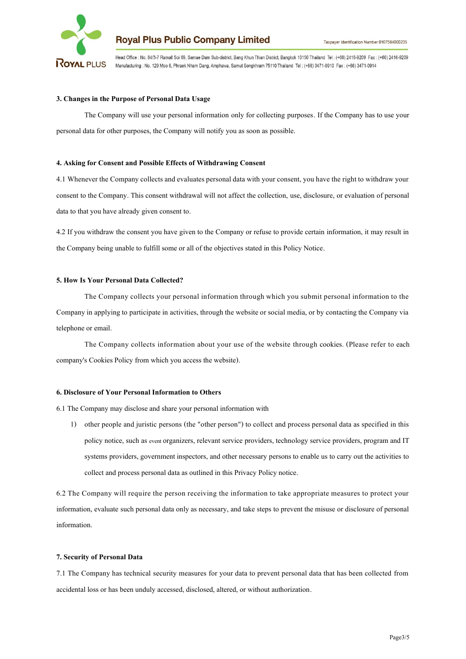

Head Office : No. 84/3-7 Ramall Soi 69, Samae Dam Sub-district, Bang Khun Thian District, Bangkok 10150 Thailand Tel: (+66) 2416-9209 Fax: (+66) 2416-9209 ROYAL PLUS Manufacturing : No. 129 Moo 6, Phraek Nham Dang, Amphawa, Samut Songkhram 75110 Thailand Tel: (+66) 3471-0910 Fax: (+66) 3471-0914

### **3. Changes in the Purpose of Personal Data Usage**

The Company will use your personal information only for collecting purposes. If the Company has to use your personal data for other purposes, the Company will notify you as soon as possible.

#### **4. Asking for Consent and Possible Effects of Withdrawing Consent**

4.1 Whenever the Company collects and evaluates personal data with your consent, you have the right to withdraw your consent to the Company. This consent withdrawal will not affect the collection, use, disclosure, or evaluation of personal data to that you have already given consent to.

4.2 If you withdraw the consent you have given to the Company or refuse to provide certain information, it may result in the Company being unable to fulfill some or all of the objectives stated in this Policy Notice.

#### **5. How Is Your Personal Data Collected?**

The Company collects your personal information through which you submit personal information to the Company in applying to participate in activities, through the website or social media, or by contacting the Company via telephone or email.

The Company collects information about your use of the website through cookies. (Please refer to each company's Cookies Policy from which you access the website).

#### **6. Disclosure of Your Personal Information to Others**

6.1 The Company may disclose and share your personal information with

1) other people and juristic persons (the "other person") to collect and process personal data as specified in this policy notice, such as event organizers, relevant service providers, technology service providers, program and IT systems providers, government inspectors, and other necessary persons to enable us to carry out the activities to collect and process personal data as outlined in this Privacy Policy notice.

6.2 The Company will require the person receiving the information to take appropriate measures to protect your information, evaluate such personal data only as necessary, and take steps to prevent the misuse or disclosure of personal information.

#### **7. Security of Personal Data**

7.1 The Company has technical security measures for your data to prevent personal data that has been collected from accidental loss or has been unduly accessed, disclosed, altered, or without authorization.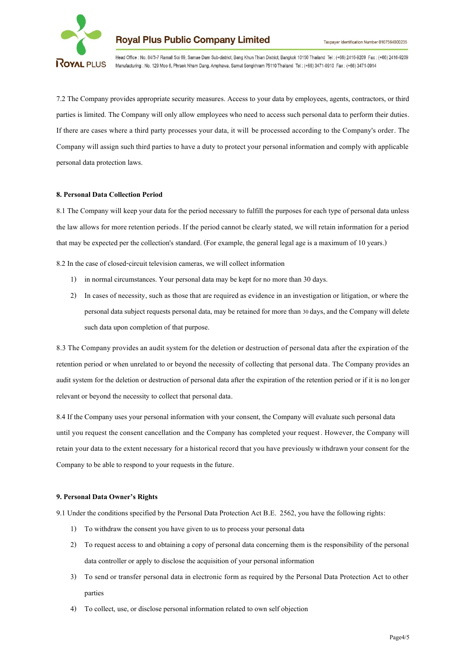

Head Office : No. 84/3-7 Ramall Soi 69, Samae Dam Sub-district, Bang Khun Thian District, Bangkok 10150 Thailand Tel: (+66) 2416-9209 Fax: (+66) 2416-9209 ROYAL PLUS Manufacturing : No. 129 Moo 6, Phraek Nham Dang, Amphawa, Samut Songkhram 75110 Thailand Tel: (+66) 3471-0910 Fax: (+66) 3471-0914

7.2 The Company provides appropriate security measures. Access to your data by employees, agents, contractors, or third parties is limited. The Company will only allow employees who need to access such personal data to perform their duties. If there are cases where a third party processes your data, it will be processed according to the Company's order. The Company will assign such third parties to have a duty to protect your personal information and comply with applicable personal data protection laws.

#### **8. Personal Data Collection Period**

8.1 The Company will keep your data for the period necessary to fulfill the purposes for each type of personal data unless the law allows for more retention periods. If the period cannot be clearly stated, we will retain information for a period that may be expected per the collection's standard. (For example, the general legal age is a maximum of 10 years.)

8.2 In the case of closed-circuit television cameras, we will collect information

- 1) in normal circumstances. Your personal data may be kept for no more than 30 days.
- 2) In cases of necessity, such as those that are required as evidence in an investigation or litigation, or where the personal data subject requests personal data, may be retained for more than 30 days, and the Company will delete such data upon completion of that purpose.

8.3 The Company provides an audit system for the deletion or destruction of personal data after the expiration of the retention period or when unrelated to or beyond the necessity of collecting that personal data. The Company provides an audit system for the deletion or destruction of personal data after the expiration of the retention period or if it is no longer relevant or beyond the necessity to collect that personal data.

8.4 If the Company uses your personal information with your consent, the Company will evaluate such personal data until you request the consent cancellation and the Company has completed your request . However, the Company will retain your data to the extent necessary for a historical record that you have previously withdrawn your consent for the Company to be able to respond to your requests in the future.

#### **9. Personal Data Owner's Rights**

9.1 Under the conditions specified by the Personal Data Protection Act B.E. 2562, you have the following rights:

- 1) To withdraw the consent you have given to us to process your personal data
- 2) To request access to and obtaining a copy of personal data concerning them is the responsibility of the personal data controller or apply to disclose the acquisition of your personal information
- 3) To send or transfer personal data in electronic form as required by the Personal Data Protection Act to other parties
- 4) To collect, use, or disclose personal information related to own self objection